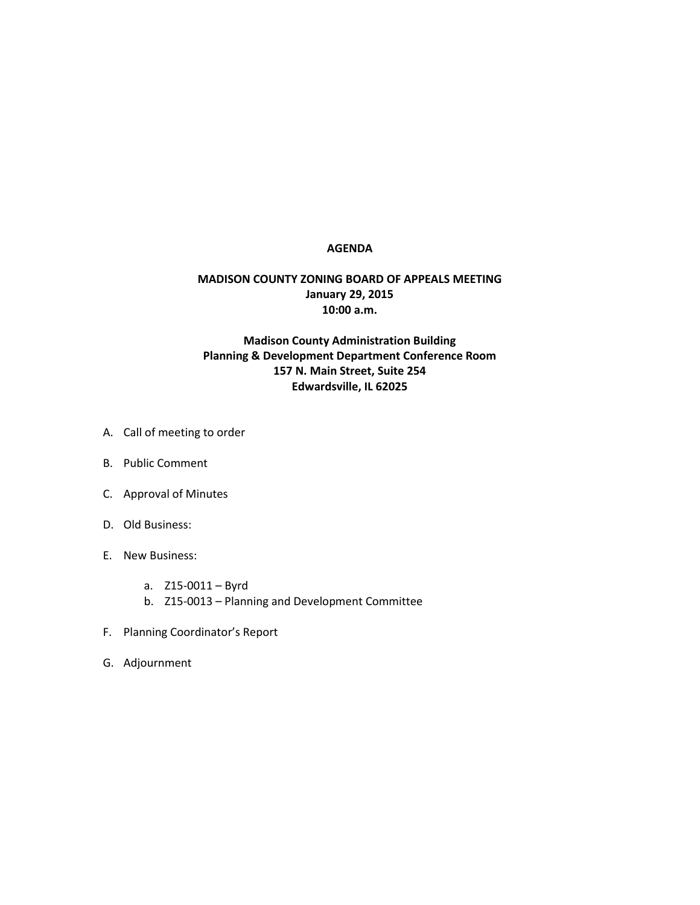## **AGENDA**

## **MADISON COUNTY ZONING BOARD OF APPEALS MEETING January 29, 2015 10:00 a.m.**

## **Madison County Administration Building Planning & Development Department Conference Room 157 N. Main Street, Suite 254 Edwardsville, IL 62025**

- A. Call of meeting to order
- B. Public Comment
- C. Approval of Minutes
- D. Old Business:
- E. New Business:
	- a. Z15-0011 Byrd
	- b. Z15-0013 Planning and Development Committee
- F. Planning Coordinator's Report
- G. Adjournment